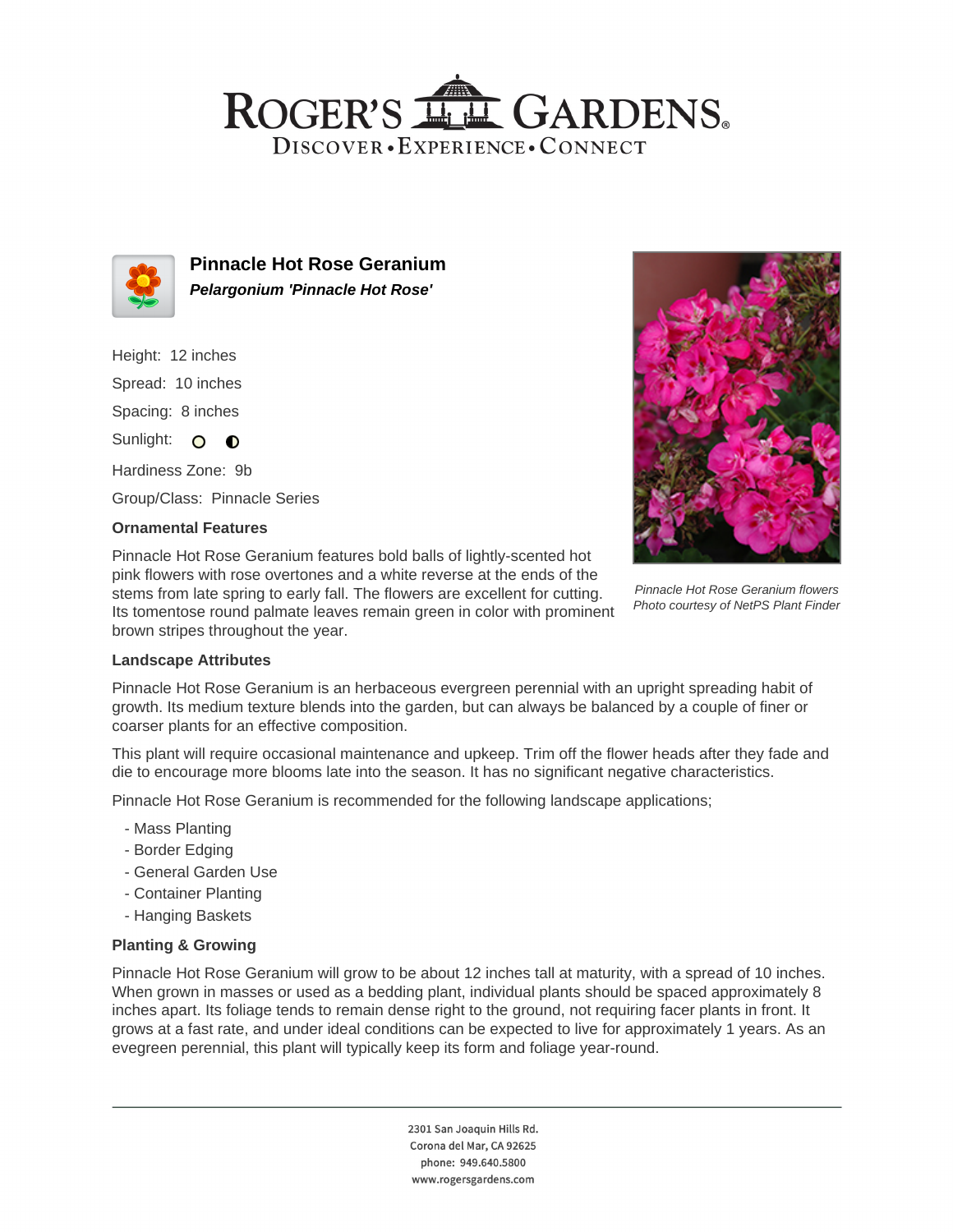## ROGER'S LL GARDENS. DISCOVER · EXPERIENCE · CONNECT



**Pinnacle Hot Rose Geranium Pelargonium 'Pinnacle Hot Rose'**

Height: 12 inches Spread: 10 inches Spacing: 8 inches Sunlight: O **O** 

Hardiness Zone: 9b Group/Class: Pinnacle Series

## **Ornamental Features**

Pinnacle Hot Rose Geranium features bold balls of lightly-scented hot pink flowers with rose overtones and a white reverse at the ends of the stems from late spring to early fall. The flowers are excellent for cutting. Its tomentose round palmate leaves remain green in color with prominent brown stripes throughout the year.



Pinnacle Hot Rose Geranium flowers Photo courtesy of NetPS Plant Finder

#### **Landscape Attributes**

Pinnacle Hot Rose Geranium is an herbaceous evergreen perennial with an upright spreading habit of growth. Its medium texture blends into the garden, but can always be balanced by a couple of finer or coarser plants for an effective composition.

This plant will require occasional maintenance and upkeep. Trim off the flower heads after they fade and die to encourage more blooms late into the season. It has no significant negative characteristics.

Pinnacle Hot Rose Geranium is recommended for the following landscape applications;

- Mass Planting
- Border Edging
- General Garden Use
- Container Planting
- Hanging Baskets

## **Planting & Growing**

Pinnacle Hot Rose Geranium will grow to be about 12 inches tall at maturity, with a spread of 10 inches. When grown in masses or used as a bedding plant, individual plants should be spaced approximately 8 inches apart. Its foliage tends to remain dense right to the ground, not requiring facer plants in front. It grows at a fast rate, and under ideal conditions can be expected to live for approximately 1 years. As an evegreen perennial, this plant will typically keep its form and foliage year-round.

> 2301 San Joaquin Hills Rd. Corona del Mar, CA 92625 phone: 949.640.5800 www.rogersgardens.com